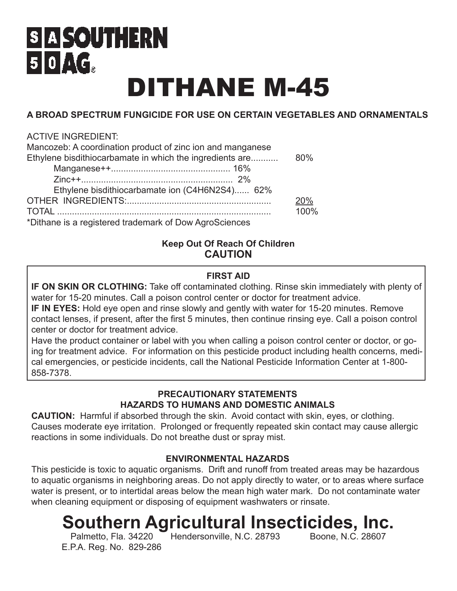# **BIA SOUTHERN**  $50AG.$ DITHANE M-45

# **A BROAD SPECTRUM FUNGICIDE FOR USE ON CERTAIN VEGETABLES AND ORNAMENTALS**

| <b>ACTIVE INGREDIENT:</b>                                  |      |
|------------------------------------------------------------|------|
| Mancozeb: A coordination product of zinc ion and manganese |      |
| Ethylene bisdithiocarbamate in which the ingredients are   | 80%  |
|                                                            |      |
|                                                            |      |
| Ethylene bisdithiocarbamate ion (C4H6N2S4) 62%             |      |
|                                                            | 20%  |
|                                                            | 100% |
| *Dithane is a registered trademark of Dow AgroSciences     |      |

# **Keep Out Of Reach Of Children CAUTION**

# **FIRST AID**

**IF ON SKIN OR CLOTHING:** Take off contaminated clothing. Rinse skin immediately with plenty of water for 15-20 minutes. Call a poison control center or doctor for treatment advice.

**IF IN EYES:** Hold eye open and rinse slowly and gently with water for 15-20 minutes. Remove contact lenses, if present, after the first 5 minutes, then continue rinsing eye. Call a poison control center or doctor for treatment advice.

Have the product container or label with you when calling a poison control center or doctor, or going for treatment advice. For information on this pesticide product including health concerns, medical emergencies, or pesticide incidents, call the National Pesticide Information Center at 1-800- 858-7378.

## **PRECAUTIONARY STATEMENTS HAZARDS TO HUMANS AND DOMESTIC ANIMALS**

**CAUTION:** Harmful if absorbed through the skin. Avoid contact with skin, eyes, or clothing. Causes moderate eye irritation. Prolonged or frequently repeated skin contact may cause allergic reactions in some individuals. Do not breathe dust or spray mist.

# **ENVIRONMENTAL HAZARDS**

This pesticide is toxic to aquatic organisms. Drift and runoff from treated areas may be hazardous to aquatic organisms in neighboring areas. Do not apply directly to water, or to areas where surface water is present, or to intertidal areas below the mean high water mark. Do not contaminate water when cleaning equipment or disposing of equipment washwaters or rinsate.

# **Southern Agricultural Insecticides, Inc.**<br>Palmetto, Fla. 34220 Hendersonville, N.C. 28793 Boone, N.C. 28607

Hendersonville, N.C. 28793 E.P.A. Reg. No. 829-286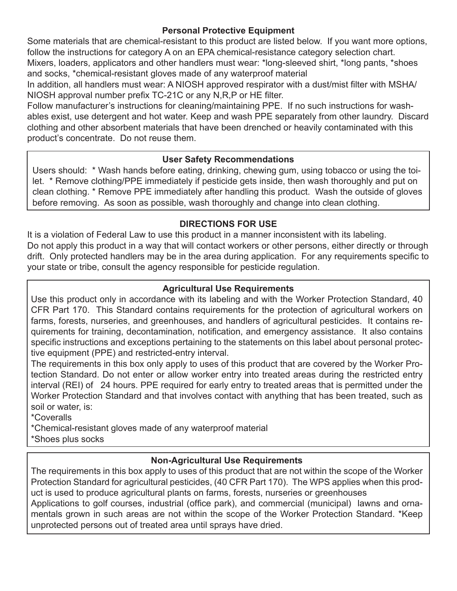## **Personal Protective Equipment**

Some materials that are chemical-resistant to this product are listed below. If you want more options, follow the instructions for category A on an EPA chemical-resistance category selection chart. Mixers, loaders, applicators and other handlers must wear: \*long-sleeved shirt, \*long pants, \*shoes and socks, \*chemical-resistant gloves made of any waterproof material

In addition, all handlers must wear: A NIOSH approved respirator with a dust/mist filter with MSHA/ NIOSH approval number prefix TC-21C or any N,R,P or HE filter.

Follow manufacturer's instructions for cleaning/maintaining PPE. If no such instructions for washables exist, use detergent and hot water. Keep and wash PPE separately from other laundry. Discard clothing and other absorbent materials that have been drenched or heavily contaminated with this product's concentrate. Do not reuse them.

## **User Safety Recommendations**

Users should: \* Wash hands before eating, drinking, chewing gum, using tobacco or using the toilet. \* Remove clothing/PPE immediately if pesticide gets inside, then wash thoroughly and put on clean clothing. \* Remove PPE immediately after handling this product. Wash the outside of gloves before removing. As soon as possible, wash thoroughly and change into clean clothing.

# **DIRECTIONS FOR USE**

It is a violation of Federal Law to use this product in a manner inconsistent with its labeling. Do not apply this product in a way that will contact workers or other persons, either directly or through drift. Only protected handlers may be in the area during application. For any requirements specific to your state or tribe, consult the agency responsible for pesticide regulation.

# **Agricultural Use Requirements**

Use this product only in accordance with its labeling and with the Worker Protection Standard, 40 CFR Part 170. This Standard contains requirements for the protection of agricultural workers on farms, forests, nurseries, and greenhouses, and handlers of agricultural pesticides. It contains requirements for training, decontamination, notification, and emergency assistance. It also contains specific instructions and exceptions pertaining to the statements on this label about personal protective equipment (PPE) and restricted-entry interval.

The requirements in this box only apply to uses of this product that are covered by the Worker Protection Standard. Do not enter or allow worker entry into treated areas during the restricted entry interval (REI) of 24 hours. PPE required for early entry to treated areas that is permitted under the Worker Protection Standard and that involves contact with anything that has been treated, such as soil or water, is:

\*Coveralls

\*Chemical-resistant gloves made of any waterproof material

\*Shoes plus socks

# **Non-Agricultural Use Requirements**

The requirements in this box apply to uses of this product that are not within the scope of the Worker Protection Standard for agricultural pesticides, (40 CFR Part 170). The WPS applies when this product is used to produce agricultural plants on farms, forests, nurseries or greenhouses Applications to golf courses, industrial (office park), and commercial (municipal) lawns and ornamentals grown in such areas are not within the scope of the Worker Protection Standard. \*Keep unprotected persons out of treated area until sprays have dried.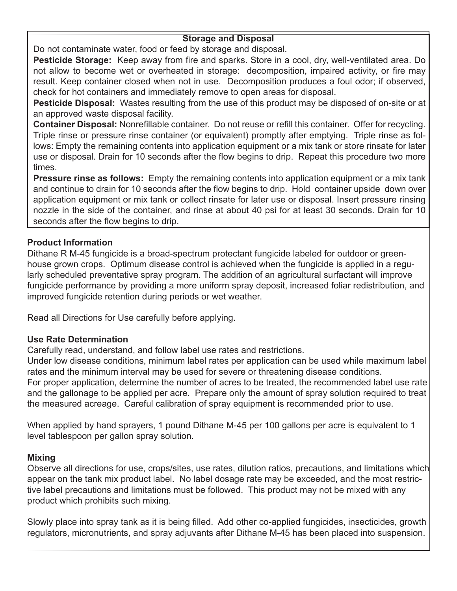## **Storage and Disposal**

Do not contaminate water, food or feed by storage and disposal.

**Pesticide Storage:** Keep away from fire and sparks. Store in a cool, dry, well-ventilated area. Do not allow to become wet or overheated in storage: decomposition, impaired activity, or fire may result. Keep container closed when not in use. Decomposition produces a foul odor; if observed, check for hot containers and immediately remove to open areas for disposal.

**Pesticide Disposal:** Wastes resulting from the use of this product may be disposed of on-site or at an approved waste disposal facility.

**Container Disposal:** Nonrefillable container. Do not reuse or refill this container. Offer for recycling. Triple rinse or pressure rinse container (or equivalent) promptly after emptying. Triple rinse as follows: Empty the remaining contents into application equipment or a mix tank or store rinsate for later use or disposal. Drain for 10 seconds after the flow begins to drip. Repeat this procedure two more times.

**Pressure rinse as follows:** Empty the remaining contents into application equipment or a mix tank and continue to drain for 10 seconds after the flow begins to drip. Hold container upside down over application equipment or mix tank or collect rinsate for later use or disposal. Insert pressure rinsing nozzle in the side of the container, and rinse at about 40 psi for at least 30 seconds. Drain for 10 seconds after the flow begins to drip.

# **Product Information**

Dithane R M-45 fungicide is a broad-spectrum protectant fungicide labeled for outdoor or greenhouse grown crops. Optimum disease control is achieved when the fungicide is applied in a regularly scheduled preventative spray program. The addition of an agricultural surfactant will improve fungicide performance by providing a more uniform spray deposit, increased foliar redistribution, and improved fungicide retention during periods or wet weather.

Read all Directions for Use carefully before applying.

## **Use Rate Determination**

Carefully read, understand, and follow label use rates and restrictions.

Under low disease conditions, minimum label rates per application can be used while maximum label rates and the minimum interval may be used for severe or threatening disease conditions. For proper application, determine the number of acres to be treated, the recommended label use rate and the gallonage to be applied per acre. Prepare only the amount of spray solution required to treat the measured acreage. Careful calibration of spray equipment is recommended prior to use.

When applied by hand sprayers, 1 pound Dithane M-45 per 100 gallons per acre is equivalent to 1 level tablespoon per gallon spray solution.

## **Mixing**

Observe all directions for use, crops/sites, use rates, dilution ratios, precautions, and limitations which appear on the tank mix product label. No label dosage rate may be exceeded, and the most restrictive label precautions and limitations must be followed. This product may not be mixed with any product which prohibits such mixing.

Slowly place into spray tank as it is being filled. Add other co-applied fungicides, insecticides, growth regulators, micronutrients, and spray adjuvants after Dithane M-45 has been placed into suspension.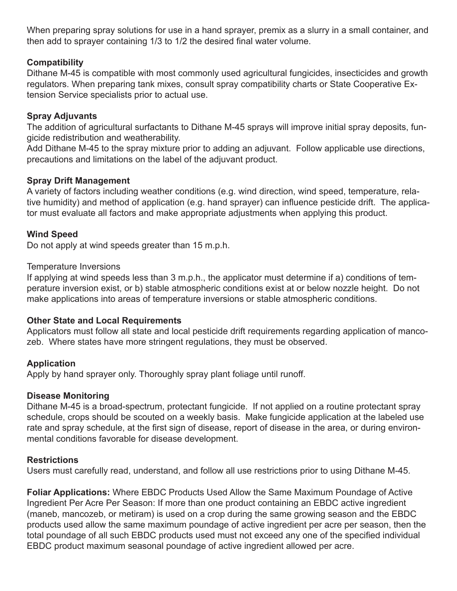When preparing spray solutions for use in a hand sprayer, premix as a slurry in a small container, and then add to sprayer containing 1/3 to 1/2 the desired final water volume.

## **Compatibility**

Dithane M-45 is compatible with most commonly used agricultural fungicides, insecticides and growth regulators. When preparing tank mixes, consult spray compatibility charts or State Cooperative Extension Service specialists prior to actual use.

#### **Spray Adjuvants**

The addition of agricultural surfactants to Dithane M-45 sprays will improve initial spray deposits, fungicide redistribution and weatherability.

Add Dithane M-45 to the spray mixture prior to adding an adjuvant. Follow applicable use directions, precautions and limitations on the label of the adjuvant product.

#### **Spray Drift Management**

A variety of factors including weather conditions (e.g. wind direction, wind speed, temperature, relative humidity) and method of application (e.g. hand sprayer) can influence pesticide drift. The applicator must evaluate all factors and make appropriate adjustments when applying this product.

#### **Wind Speed**

Do not apply at wind speeds greater than 15 m.p.h.

#### Temperature Inversions

If applying at wind speeds less than 3 m.p.h., the applicator must determine if a) conditions of temperature inversion exist, or b) stable atmospheric conditions exist at or below nozzle height. Do not make applications into areas of temperature inversions or stable atmospheric conditions.

#### **Other State and Local Requirements**

Applicators must follow all state and local pesticide drift requirements regarding application of mancozeb. Where states have more stringent regulations, they must be observed.

## **Application**

Apply by hand sprayer only. Thoroughly spray plant foliage until runoff.

#### **Disease Monitoring**

Dithane M-45 is a broad-spectrum, protectant fungicide. If not applied on a routine protectant spray schedule, crops should be scouted on a weekly basis. Make fungicide application at the labeled use rate and spray schedule, at the first sign of disease, report of disease in the area, or during environmental conditions favorable for disease development.

#### **Restrictions**

Users must carefully read, understand, and follow all use restrictions prior to using Dithane M-45.

**Foliar Applications:** Where EBDC Products Used Allow the Same Maximum Poundage of Active Ingredient Per Acre Per Season: If more than one product containing an EBDC active ingredient (maneb, mancozeb, or metiram) is used on a crop during the same growing season and the EBDC products used allow the same maximum poundage of active ingredient per acre per season, then the total poundage of all such EBDC products used must not exceed any one of the specified individual EBDC product maximum seasonal poundage of active ingredient allowed per acre.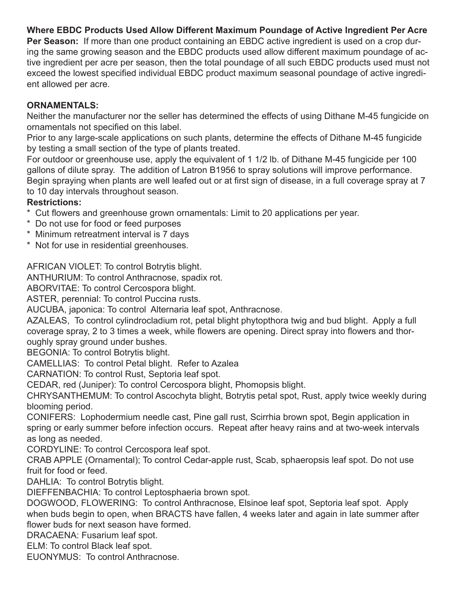# **Where EBDC Products Used Allow Different Maximum Poundage of Active Ingredient Per Acre**

**Per Season:** If more than one product containing an EBDC active ingredient is used on a crop during the same growing season and the EBDC products used allow different maximum poundage of active ingredient per acre per season, then the total poundage of all such EBDC products used must not exceed the lowest specified individual EBDC product maximum seasonal poundage of active ingredient allowed per acre.

### **ORNAMENTALS:**

Neither the manufacturer nor the seller has determined the effects of using Dithane M-45 fungicide on ornamentals not specified on this label.

Prior to any large-scale applications on such plants, determine the effects of Dithane M-45 fungicide by testing a small section of the type of plants treated.

For outdoor or greenhouse use, apply the equivalent of 1 1/2 lb. of Dithane M-45 fungicide per 100 gallons of dilute spray. The addition of Latron B1956 to spray solutions will improve performance. Begin spraying when plants are well leafed out or at first sign of disease, in a full coverage spray at 7 to 10 day intervals throughout season.

## **Restrictions:**

- \* Cut flowers and greenhouse grown ornamentals: Limit to 20 applications per year.
- \* Do not use for food or feed purposes
- \* Minimum retreatment interval is 7 days
- \* Not for use in residential greenhouses.

AFRICAN VIOLET: To control Botrytis blight.

ANTHURIUM: To control Anthracnose, spadix rot.

ABORVITAE: To control Cercospora blight.

ASTER, perennial: To control Puccina rusts.

AUCUBA, japonica: To control Alternaria leaf spot, Anthracnose.

AZALEAS, To control cylindrocladium rot, petal blight phytopthora twig and bud blight. Apply a full coverage spray, 2 to 3 times a week, while flowers are opening. Direct spray into flowers and thoroughly spray ground under bushes.

BEGONIA: To control Botrytis blight.

CAMELLIAS: To control Petal blight. Refer to Azalea

CARNATION: To control Rust, Septoria leaf spot.

CEDAR, red (Juniper): To control Cercospora blight, Phomopsis blight.

CHRYSANTHEMUM: To control Ascochyta blight, Botrytis petal spot, Rust, apply twice weekly during blooming period.

CONIFERS: Lophodermium needle cast, Pine gall rust, Scirrhia brown spot, Begin application in spring or early summer before infection occurs. Repeat after heavy rains and at two-week intervals as long as needed.

CORDYLINE: To control Cercospora leaf spot.

CRAB APPLE (Ornamental); To control Cedar-apple rust, Scab, sphaeropsis leaf spot. Do not use fruit for food or feed.

DAHLIA: To control Botrytis blight.

DIEFFENBACHIA: To control Leptosphaeria brown spot.

DOGWOOD, FLOWERING: To control Anthracnose, Elsinoe leaf spot, Septoria leaf spot. Apply when buds begin to open, when BRACTS have fallen, 4 weeks later and again in late summer after flower buds for next season have formed.

DRACAENA: Fusarium leaf spot.

ELM: To control Black leaf spot.

EUONYMUS: To control Anthracnose.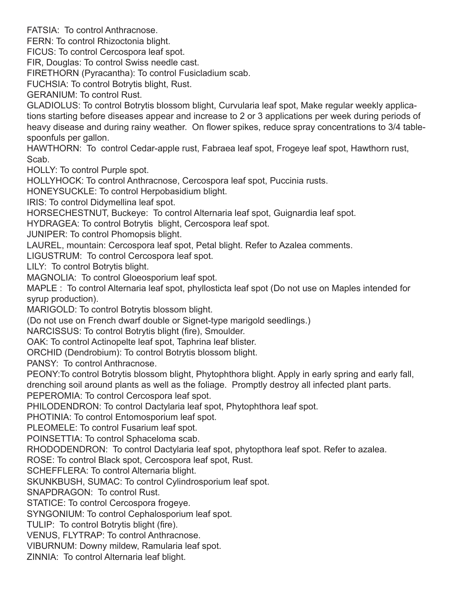FATSIA: To control Anthracnose.

FERN: To control Rhizoctonia blight.

FICUS: To control Cercospora leaf spot.

FIR, Douglas: To control Swiss needle cast.

FIRETHORN (Pyracantha): To control Fusicladium scab.

FUCHSIA: To control Botrytis blight, Rust.

GERANIUM: To control Rust.

GLADIOLUS: To control Botrytis blossom blight, Curvularia leaf spot, Make regular weekly applications starting before diseases appear and increase to 2 or 3 applications per week during periods of heavy disease and during rainy weather. On flower spikes, reduce spray concentrations to 3/4 tablespoonfuls per gallon.

HAWTHORN: To control Cedar-apple rust, Fabraea leaf spot, Frogeye leaf spot, Hawthorn rust, Scab.

HOLLY: To control Purple spot.

HOLLYHOCK: To control Anthracnose, Cercospora leaf spot, Puccinia rusts.

HONEYSUCKLE: To control Herpobasidium blight.

IRIS: To control Didymellina leaf spot.

HORSECHESTNUT, Buckeye: To control Alternaria leaf spot, Guignardia leaf spot.

HYDRAGEA: To control Botrytis blight, Cercospora leaf spot.

JUNIPER: To control Phomopsis blight.

LAUREL, mountain: Cercospora leaf spot, Petal blight. Refer to Azalea comments.

LIGUSTRUM: To control Cercospora leaf spot.

LILY: To control Botrytis blight.

MAGNOLIA: To control Gloeosporium leaf spot.

MAPLE : To control Alternaria leaf spot, phyllosticta leaf spot (Do not use on Maples intended for syrup production).

MARIGOLD: To control Botrytis blossom blight.

(Do not use on French dwarf double or Signet-type marigold seedlings.)

NARCISSUS: To control Botrytis blight (fire), Smoulder.

OAK: To control Actinopelte leaf spot, Taphrina leaf blister.

ORCHID (Dendrobium): To control Botrytis blossom blight.

PANSY: To control Anthracnose.

PEONY:To control Botrytis blossom blight, Phytophthora blight. Apply in early spring and early fall, drenching soil around plants as well as the foliage. Promptly destroy all infected plant parts.

PEPEROMIA: To control Cercospora leaf spot.

PHILODENDRON: To control Dactylaria leaf spot, Phytophthora leaf spot.

PHOTINIA: To control Entomosporium leaf spot.

PLEOMELE: To control Fusarium leaf spot.

POINSETTIA: To control Sphaceloma scab.

RHODODENDRON: To control Dactylaria leaf spot, phytopthora leaf spot. Refer to azalea.

ROSE: To control Black spot, Cercospora leaf spot, Rust.

SCHEFFLERA: To control Alternaria blight.

SKUNKBUSH, SUMAC: To control Cylindrosporium leaf spot.

SNAPDRAGON: To control Rust.

STATICE: To control Cercospora frogeye.

SYNGONIUM: To control Cephalosporium leaf spot.

TULIP: To control Botrytis blight (fire).

VENUS, FLYTRAP: To control Anthracnose.

VIBURNUM: Downy mildew, Ramularia leaf spot.

ZINNIA: To control Alternaria leaf blight.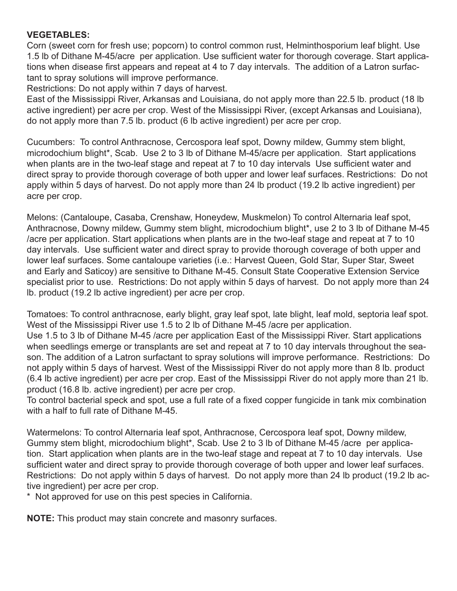#### **VEGETABLES:**

Corn (sweet corn for fresh use; popcorn) to control common rust, Helminthosporium leaf blight. Use 1.5 lb of Dithane M-45/acre per application. Use sufficient water for thorough coverage. Start applications when disease first appears and repeat at 4 to 7 day intervals. The addition of a Latron surfactant to spray solutions will improve performance.

Restrictions: Do not apply within 7 days of harvest.

East of the Mississippi River, Arkansas and Louisiana, do not apply more than 22.5 lb. product (18 lb active ingredient) per acre per crop. West of the Mississippi River, (except Arkansas and Louisiana), do not apply more than 7.5 lb. product (6 lb active ingredient) per acre per crop.

Cucumbers: To control Anthracnose, Cercospora leaf spot, Downy mildew, Gummy stem blight, microdochium blight\*, Scab. Use 2 to 3 lb of Dithane M-45/acre per application. Start applications when plants are in the two-leaf stage and repeat at 7 to 10 day intervals Use sufficient water and direct spray to provide thorough coverage of both upper and lower leaf surfaces. Restrictions: Do not apply within 5 days of harvest. Do not apply more than 24 lb product (19.2 lb active ingredient) per acre per crop.

Melons: (Cantaloupe, Casaba, Crenshaw, Honeydew, Muskmelon) To control Alternaria leaf spot, Anthracnose, Downy mildew, Gummy stem blight, microdochium blight\*, use 2 to 3 lb of Dithane M-45 /acre per application. Start applications when plants are in the two-leaf stage and repeat at 7 to 10 day intervals. Use sufficient water and direct spray to provide thorough coverage of both upper and lower leaf surfaces. Some cantaloupe varieties (i.e.: Harvest Queen, Gold Star, Super Star, Sweet and Early and Saticoy) are sensitive to Dithane M-45. Consult State Cooperative Extension Service specialist prior to use. Restrictions: Do not apply within 5 days of harvest. Do not apply more than 24 lb. product (19.2 lb active ingredient) per acre per crop.

Tomatoes: To control anthracnose, early blight, gray leaf spot, late blight, leaf mold, septoria leaf spot. West of the Mississippi River use 1.5 to 2 lb of Dithane M-45 /acre per application.

Use 1.5 to 3 lb of Dithane M-45 /acre per application East of the Mississippi River. Start applications when seedlings emerge or transplants are set and repeat at 7 to 10 day intervals throughout the season. The addition of a Latron surfactant to spray solutions will improve performance. Restrictions: Do not apply within 5 days of harvest. West of the Mississippi River do not apply more than 8 lb. product (6.4 lb active ingredient) per acre per crop. East of the Mississippi River do not apply more than 21 lb. product (16.8 lb. active ingredient) per acre per crop.

To control bacterial speck and spot, use a full rate of a fixed copper fungicide in tank mix combination with a half to full rate of Dithane M-45.

Watermelons: To control Alternaria leaf spot, Anthracnose, Cercospora leaf spot, Downy mildew, Gummy stem blight, microdochium blight\*, Scab. Use 2 to 3 lb of Dithane M-45 /acre per application. Start application when plants are in the two-leaf stage and repeat at 7 to 10 day intervals. Use sufficient water and direct spray to provide thorough coverage of both upper and lower leaf surfaces. Restrictions: Do not apply within 5 days of harvest. Do not apply more than 24 lb product (19.2 lb active ingredient) per acre per crop.

\* Not approved for use on this pest species in California.

**NOTE:** This product may stain concrete and masonry surfaces.